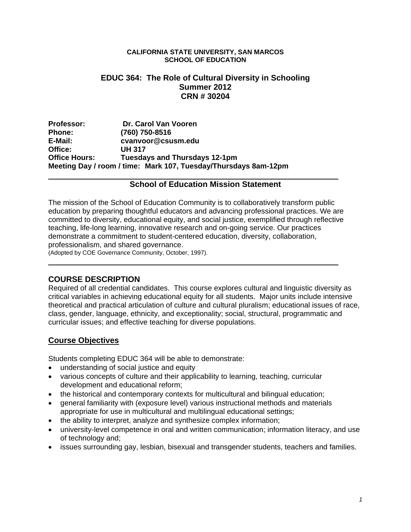#### **CALIFORNIA STATE UNIVERSITY, SAN MARCOS SCHOOL OF EDUCATION**

### **EDUC 364: The Role of Cultural Diversity in Schooling Summer 2012 CRN # 30204**

Professor: **Dr. Carol Van Vooren Phone: (760) 750-8516 E-Mail: cvanvoor@csusm.edu Office: UH 317 Office Hours: Tuesdays and Thursdays 12-1pm Meeting Day / room / time: Mark 107, Tuesday/Thursdays 8am-12pm** 

### **School of Education Mission Statement**

The mission of the School of Education Community is to collaboratively transform public education by preparing thoughtful educators and advancing professional practices. We are committed to diversity, educational equity, and social justice, exemplified through reflective teaching, life-long learning, innovative research and on-going service. Our practices demonstrate a commitment to student-centered education, diversity, collaboration, professionalism, and shared governance.

(Adopted by COE Governance Community, October, 1997).

## **COURSE DESCRIPTION**

Required of all credential candidates. This course explores cultural and linguistic diversity as critical variables in achieving educational equity for all students. Major units include intensive theoretical and practical articulation of culture and cultural pluralism; educational issues of race, class, gender, language, ethnicity, and exceptionality; social, structural, programmatic and curricular issues; and effective teaching for diverse populations.

## **Course Objectives**

Students completing EDUC 364 will be able to demonstrate:

- understanding of social justice and equity
- various concepts of culture and their applicability to learning, teaching, curricular development and educational reform;
- the historical and contemporary contexts for multicultural and bilingual education;
- general familiarity with (exposure level) various instructional methods and materials appropriate for use in multicultural and multilingual educational settings;
- the ability to interpret, analyze and synthesize complex information;
- university-level competence in oral and written communication; information literacy, and use of technology and;
- issues surrounding gay, lesbian, bisexual and transgender students, teachers and families.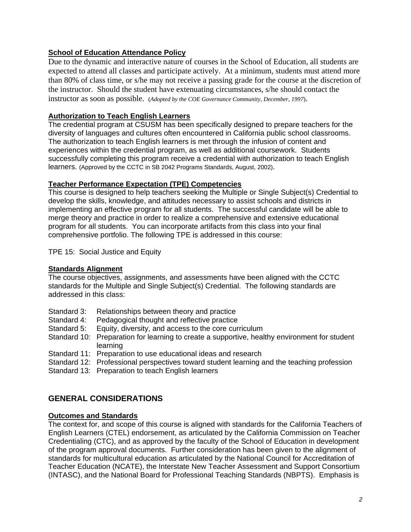### **School of Education Attendance Policy**

Due to the dynamic and interactive nature of courses in the School of Education, all students are expected to attend all classes and participate actively. At a minimum, students must attend more than 80% of class time, or s/he may not receive a passing grade for the course at the discretion of the instructor. Should the student have extenuating circumstances, s/he should contact the instructor as soon as possible. (*Adopted by the COE Governance Community, December, 1997*).

### **Authorization to Teach English Learners**

The credential program at CSUSM has been specifically designed to prepare teachers for the diversity of languages and cultures often encountered in California public school classrooms. The authorization to teach English learners is met through the infusion of content and experiences within the credential program, as well as additional coursework. Students successfully completing this program receive a credential with authorization to teach English learners. (Approved by the CCTC in SB 2042 Programs Standards, August, 2002).

#### **Teacher Performance Expectation (TPE) Competencies**

This course is designed to help teachers seeking the Multiple or Single Subject(s) Credential to develop the skills, knowledge, and attitudes necessary to assist schools and districts in implementing an effective program for all students. The successful candidate will be able to merge theory and practice in order to realize a comprehensive and extensive educational program for all students. You can incorporate artifacts from this class into your final comprehensive portfolio. The following TPE is addressed in this course:

TPE 15: Social Justice and Equity

#### **Standards Alignment**

The course objectives, assignments, and assessments have been aligned with the CCTC standards for the Multiple and Single Subject(s) Credential. The following standards are addressed in this class:

- Standard 3: Relationships between theory and practice
- Standard 4: Pedagogical thought and reflective practice
- Standard 5: Equity, diversity, and access to the core curriculum
- Standard 10: Preparation for learning to create a supportive, healthy environment for student learning
- Standard 11: Preparation to use educational ideas and research
- Standard 12: Professional perspectives toward student learning and the teaching profession

Standard 13: Preparation to teach English learners

# **GENERAL CONSIDERATIONS**

#### **Outcomes and Standards**

The context for, and scope of this course is aligned with standards for the California Teachers of English Learners (CTEL) endorsement, as articulated by the California Commission on Teacher Credentialing (CTC), and as approved by the faculty of the School of Education in development of the program approval documents. Further consideration has been given to the alignment of standards for multicultural education as articulated by the National Council for Accreditation of Teacher Education (NCATE), the Interstate New Teacher Assessment and Support Consortium (INTASC), and the National Board for Professional Teaching Standards (NBPTS). Emphasis is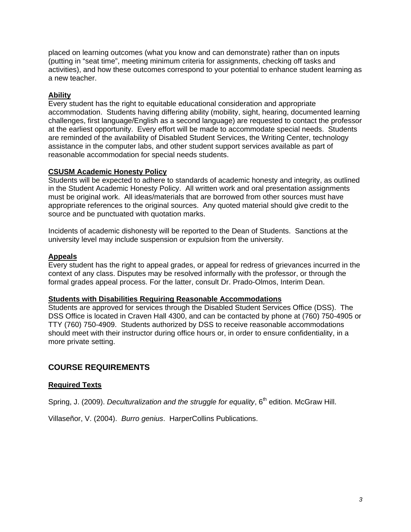placed on learning outcomes (what you know and can demonstrate) rather than on inputs (putting in "seat time", meeting minimum criteria for assignments, checking off tasks and activities), and how these outcomes correspond to your potential to enhance student learning as a new teacher.

### **Ability**

Every student has the right to equitable educational consideration and appropriate accommodation. Students having differing ability (mobility, sight, hearing, documented learning challenges, first language/English as a second language) are requested to contact the professor at the earliest opportunity. Every effort will be made to accommodate special needs. Students are reminded of the availability of Disabled Student Services, the Writing Center, technology assistance in the computer labs, and other student support services available as part of reasonable accommodation for special needs students.

#### **CSUSM Academic Honesty Policy**

Students will be expected to adhere to standards of academic honesty and integrity, as outlined in the Student Academic Honesty Policy. All written work and oral presentation assignments must be original work. All ideas/materials that are borrowed from other sources must have appropriate references to the original sources. Any quoted material should give credit to the source and be punctuated with quotation marks.

Incidents of academic dishonesty will be reported to the Dean of Students. Sanctions at the university level may include suspension or expulsion from the university.

#### **Appeals**

Every student has the right to appeal grades, or appeal for redress of grievances incurred in the context of any class. Disputes may be resolved informally with the professor, or through the formal grades appeal process. For the latter, consult Dr. Prado-Olmos, Interim Dean.

#### **Students with Disabilities Requiring Reasonable Accommodations**

Students are approved for services through the Disabled Student Services Office (DSS). The DSS Office is located in Craven Hall 4300, and can be contacted by phone at (760) 750-4905 or TTY (760) 750-4909. Students authorized by DSS to receive reasonable accommodations should meet with their instructor during office hours or, in order to ensure confidentiality, in a more private setting.

## **COURSE REQUIREMENTS**

#### **Required Texts**

Spring, J. (2009). *Deculturalization and the struggle for equality*, 6<sup>th</sup> edition. McGraw Hill.

Villaseñor, V. (2004). *Burro genius*. HarperCollins Publications.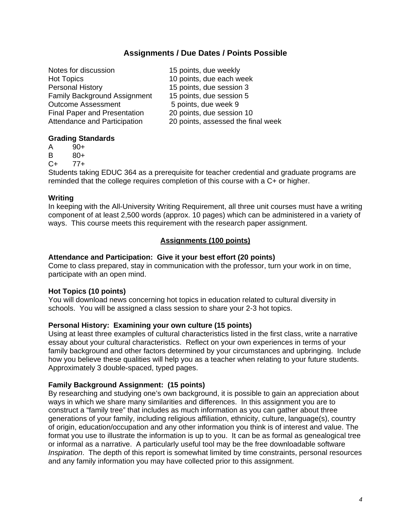## **Assignments / Due Dates / Points Possible**

| 15 points, due weekly              |
|------------------------------------|
| 10 points, due each week           |
| 15 points, due session 3           |
| 15 points, due session 5           |
| 5 points, due week 9               |
| 20 points, due session 10          |
| 20 points, assessed the final week |
|                                    |

#### **Grading Standards**

- A 90+
- B 80+
- C+ 77+

Students taking EDUC 364 as a prerequisite for teacher credential and graduate programs are reminded that the college requires completion of this course with a C+ or higher.

#### **Writing**

In keeping with the All-University Writing Requirement, all three unit courses must have a writing component of at least 2,500 words (approx. 10 pages) which can be administered in a variety of ways. This course meets this requirement with the research paper assignment.

## **Assignments (100 points)**

### **Attendance and Participation: Give it your best effort (20 points)**

Come to class prepared, stay in communication with the professor, turn your work in on time, participate with an open mind.

## **Hot Topics (10 points)**

You will download news concerning hot topics in education related to cultural diversity in schools. You will be assigned a class session to share your 2-3 hot topics.

## **Personal History: Examining your own culture (15 points)**

Using at least three examples of cultural characteristics listed in the first class, write a narrative essay about your cultural characteristics. Reflect on your own experiences in terms of your family background and other factors determined by your circumstances and upbringing. Include how you believe these qualities will help you as a teacher when relating to your future students. Approximately 3 double-spaced, typed pages.

## **Family Background Assignment: (15 points)**

By researching and studying one's own background, it is possible to gain an appreciation about ways in which we share many similarities and differences. In this assignment you are to construct a "family tree" that includes as much information as you can gather about three generations of your family, including religious affiliation, ethnicity, culture, language(s), country of origin, education/occupation and any other information you think is of interest and value. The format you use to illustrate the information is up to you. It can be as formal as genealogical tree or informal as a narrative. A particularly useful tool may be the free downloadable software *Inspiration*. The depth of this report is somewhat limited by time constraints, personal resources and any family information you may have collected prior to this assignment.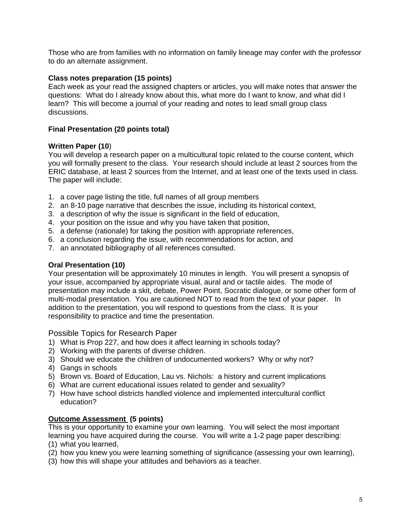Those who are from families with no information on family lineage may confer with the professor to do an alternate assignment.

#### **Class notes preparation (15 points)**

 discussions. Each week as your read the assigned chapters or articles, you will make notes that answer the questions: What do I already know about this, what more do I want to know, and what did I learn? This will become a journal of your reading and notes to lead small group class

#### **Final Presentation (20 points total)**

#### **Written Paper (10**)

You will develop a research paper on a multicultural topic related to the course content, which you will formally present to the class. Your research should include at least 2 sources from the ERIC database, at least 2 sources from the Internet, and at least one of the texts used in class. The paper will include:

- 1. a cover page listing the title, full names of all group members
- 2. an 8-10 page narrative that describes the issue, including its historical context,
- 3. a description of why the issue is significant in the field of education,
- 4. your position on the issue and why you have taken that position,
- 5. a defense (rationale) for taking the position with appropriate references,
- 6. a conclusion regarding the issue, with recommendations for action, and
- 7. an annotated bibliography of all references consulted.

#### **Oral Presentation (10)**

Your presentation will be approximately 10 minutes in length. You will present a synopsis of your issue, accompanied by appropriate visual, aural and or tactile aides. The mode of presentation may include a skit, debate, Power Point, Socratic dialogue, or some other form of multi-modal presentation. You are cautioned NOT to read from the text of your paper. In addition to the presentation, you will respond to questions from the class. It is your responsibility to practice and time the presentation.

Possible Topics for Research Paper

- 1) What is Prop 227, and how does it affect learning in schools today?
- 2) Working with the parents of diverse children.
- 3) Should we educate the children of undocumented workers? Why or why not?
- 4) Gangs in schools
- 5) Brown vs. Board of Education, Lau vs. Nichols: a history and current implications
- 6) What are current educational issues related to gender and sexuality?
- 7) How have school districts handled violence and implemented intercultural conflict education?

#### **Outcome Assessment (5 points)**

This is your opportunity to examine your own learning. You will select the most important learning you have acquired during the course. You will write a 1-2 page paper describing:

- (1) what you learned,
- (2) how you knew you were learning something of significance (assessing your own learning),
- (3) how this will shape your attitudes and behaviors as a teacher.